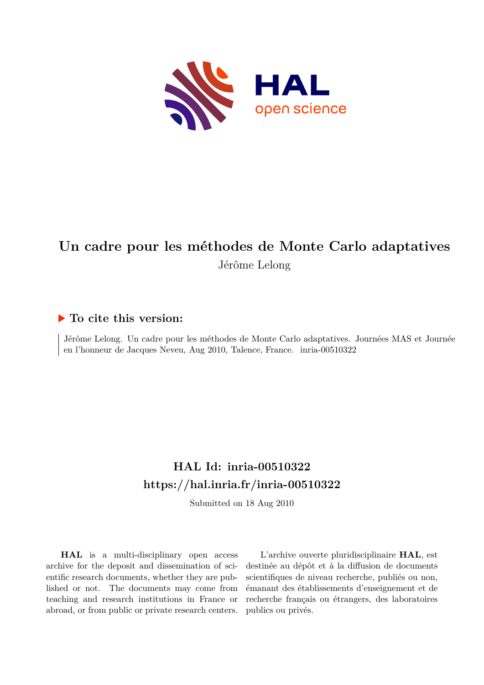

## **Un cadre pour les méthodes de Monte Carlo adaptatives** Jérôme Lelong

## **To cite this version:**

Jérôme Lelong. Un cadre pour les méthodes de Monte Carlo adaptatives. Journées MAS et Journée en l'honneur de Jacques Neveu, Aug 2010, Talence, France. inria-00510322

## **HAL Id: inria-00510322 <https://hal.inria.fr/inria-00510322>**

Submitted on 18 Aug 2010

**HAL** is a multi-disciplinary open access archive for the deposit and dissemination of scientific research documents, whether they are published or not. The documents may come from teaching and research institutions in France or abroad, or from public or private research centers.

L'archive ouverte pluridisciplinaire **HAL**, est destinée au dépôt et à la diffusion de documents scientifiques de niveau recherche, publiés ou non, émanant des établissements d'enseignement et de recherche français ou étrangers, des laboratoires publics ou privés.